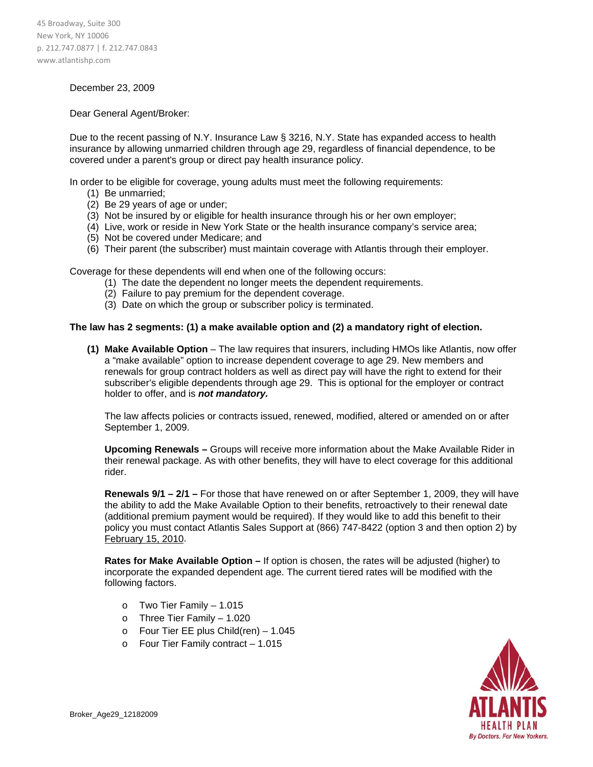45 Broadway, Suite 300 New York, NY 10006 p. 212.747.0877 | f. 212.747.0843 www.atlantishp.com

## December 23, 2009

## Dear General Agent/Broker:

Due to the recent passing of N.Y. Insurance Law § 3216, N.Y. State has expanded access to health insurance by allowing unmarried children through age 29, regardless of financial dependence, to be covered under a parent's group or direct pay health insurance policy.

In order to be eligible for coverage, young adults must meet the following requirements:

- (1) Be unmarried;
- (2) Be 29 years of age or under;
- (3) Not be insured by or eligible for health insurance through his or her own employer;
- (4) Live, work or reside in New York State or the health insurance company's service area;
- (5) Not be covered under Medicare; and
- (6) Their parent (the subscriber) must maintain coverage with Atlantis through their employer.

Coverage for these dependents will end when one of the following occurs:

- (1) The date the dependent no longer meets the dependent requirements.
- (2) Failure to pay premium for the dependent coverage.
- (3) Date on which the group or subscriber policy is terminated.

## **The law has 2 segments: (1) a make available option and (2) a mandatory right of election.**

**(1) Make Available Option** – The law requires that insurers, including HMOs like Atlantis, now offer a "make available" option to increase dependent coverage to age 29. New members and renewals for group contract holders as well as direct pay will have the right to extend for their subscriber's eligible dependents through age 29. This is optional for the employer or contract holder to offer, and is *not mandatory.*

The law affects policies or contracts issued, renewed, modified, altered or amended on or after September 1, 2009.

**Upcoming Renewals –** Groups will receive more information about the Make Available Rider in their renewal package. As with other benefits, they will have to elect coverage for this additional rider.

**Renewals 9/1 – 2/1 –** For those that have renewed on or after September 1, 2009, they will have the ability to add the Make Available Option to their benefits, retroactively to their renewal date (additional premium payment would be required). If they would like to add this benefit to their policy you must contact Atlantis Sales Support at (866) 747-8422 (option 3 and then option 2) by February 15, 2010.

**Rates for Make Available Option –** If option is chosen, the rates will be adjusted (higher) to incorporate the expanded dependent age. The current tiered rates will be modified with the following factors.

- o Two Tier Family 1.015
- o Three Tier Family 1.020
- o Four Tier EE plus Child(ren) 1.045
- o Four Tier Family contract 1.015